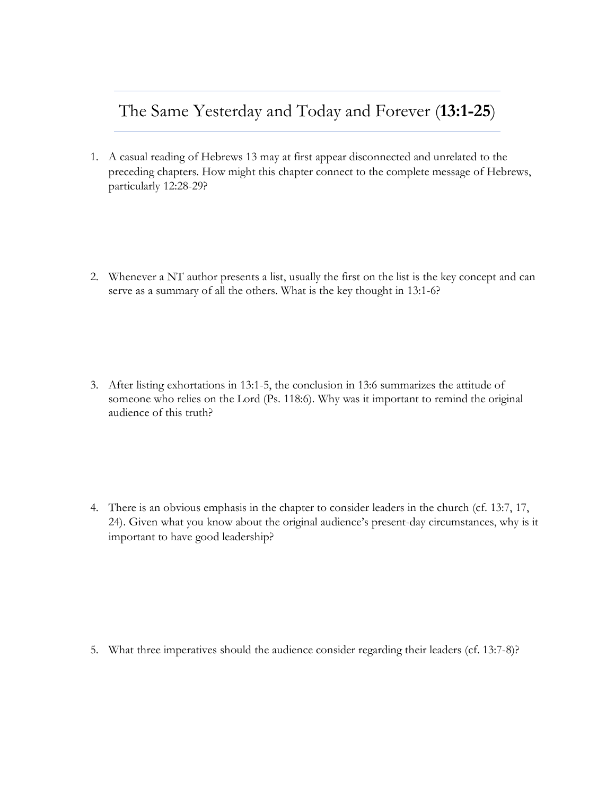## The Same Yesterday and Today and Forever (**13:1-25**)

- 1. A casual reading of Hebrews 13 may at first appear disconnected and unrelated to the preceding chapters. How might this chapter connect to the complete message of Hebrews, particularly 12:28-29?
- 2. Whenever a NT author presents a list, usually the first on the list is the key concept and can serve as a summary of all the others. What is the key thought in 13:1-6?

3. After listing exhortations in 13:1-5, the conclusion in 13:6 summarizes the attitude of someone who relies on the Lord (Ps. 118:6). Why was it important to remind the original audience of this truth?

4. There is an obvious emphasis in the chapter to consider leaders in the church (cf. 13:7, 17, 24). Given what you know about the original audience's present-day circumstances, why is it important to have good leadership?

5. What three imperatives should the audience consider regarding their leaders (cf. 13:7-8)?